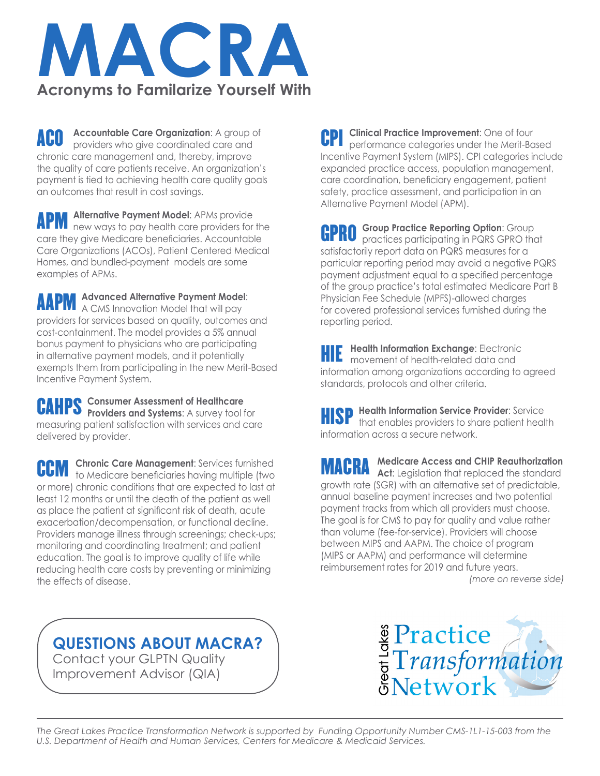

**ACO** Accountable Care Organization: A group of providers who give coordinated care and chronic care management and, thereby, improve the quality of care patients receive. An organization's payment is tied to achieving health care quality goals an outcomes that result in cost savings.

**APM** Alternative Payment Model: APMs provide<br>**APM** new ways to pay health care providers for the care they give Medicare beneficiaries. Accountable Care Organizations (ACOs), Patient Centered Medical Homes, and bundled-payment models are some examples of APMs.

AAPM **Advanced Alternative Payment Model**: A CMS Innovation Model that will pay providers for services based on quality, outcomes and cost-containment. The model provides a 5% annual bonus payment to physicians who are participating in alternative payment models, and it potentially exempts them from participating in the new Merit-Based Incentive Payment System.

**Consumer Assessment of Healthcare CAHPS** Consumer Assessment of Healthcare<br>**CAHPS** Providers and Systems: A survey tool for measuring patient satisfaction with services and care delivered by provider.

**Chronic Care Management**: Services furnished **CCM** Chronic Care Management: Services turnished to Medicare beneficiaries having multiple (two or more) chronic conditions that are expected to last at least 12 months or until the death of the patient as well as place the patient at significant risk of death, acute exacerbation/decompensation, or functional decline. Providers manage illness through screenings; check-ups; monitoring and coordinating treatment; and patient education. The goal is to improve quality of life while reducing health care costs by preventing or minimizing the effects of disease.

**Clinical Practice Improvement:** One of four performance categories under the Merit-Based Incentive Payment System (MIPS). CPI categories include expanded practice access, population management, care coordination, beneficiary engagement, patient safety, practice assessment, and participation in an Alternative Payment Model (APM). CPI

**GPRO** Group Practice Reporting Option: Group<br>**GPRO** practices participating in PQRS GPRO the practices participating in PQRS GPRO that satisfactorily report data on PQRS measures for a particular reporting period may avoid a negative PQRS payment adjustment equal to a specified percentage of the group practice's total estimated Medicare Part B Physician Fee Schedule (MPFS)-allowed charges for covered professional services furnished during the reporting period.

**HIE Health Information Exchange: Electronic<br>
<b>HIE** movement of health-related data and movement of health-related data and information among organizations according to agreed standards, protocols and other criteria.

**HISP** Health Information Service Provider: Service that enables providers to share patient healty that enables providers to share patient health information across a secure network.

**Medicare Access and CHIP Reauthorization MACRA** Medicare Access and CHIP Reauthorization<br>**MACRA** Act: Legislation that replaced the standard growth rate (SGR) with an alternative set of predictable, annual baseline payment increases and two potential payment tracks from which all providers must choose. The goal is for CMS to pay for quality and value rather than volume (fee-for-service). Providers will choose between MIPS and AAPM. The choice of program (MIPS or AAPM) and performance will determine reimbursement rates for 2019 and future years. *(more on reverse side)*

**QUESTIONS ABOUT MACRA?**

Contact your GLPTN Quality Improvement Advisor (QIA)



*The Great Lakes Practice Transformation Network is supported by Funding Opportunity Number CMS-1L1-15-003 from the U.S. Department of Health and Human Services, Centers for Medicare & Medicaid Services.*